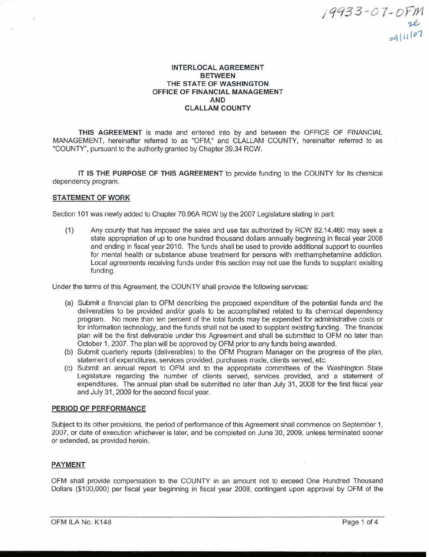# **INTERLOCAL AGREEMENT BETWEEN THE STATE OF WASHINGTON OFFICE OF FINANCIAL MANAGEMENT AND CLALLAM COUNTY**

**THlS AGREEMENT** is made and entered into by and between the OFFICE OF FINANCIAL MANAGEMENT, hereinafter referred to as "OFM," and CLALLAM COUNTY, hereinafter referred to as "COUNTY", pursuant to the authority granted by Chapter 39.34 RCW.

**IT IS THE PURPOSE OF THlS AGREEMENT** to provide funding to the COUNTY for its chemical dependency program.

# **STATEMENT OF WORK**

Section 101 was newly added to Chapter 70.96A RCW by the 2007 Legislature stating in part:

 $(1)$ Any county that has imposed the sales and use tax authorized by RCW 82.14.460 may seek a state appropriation of up to one hundred thousand dollars annually beginning in fiscal year 2008 and ending in fiscal year 2010. The funds shall be used to provide additional support to counties for mental health or substance abuse treatment for persons with methamphetamine addiction. Local agreements receiving funds under this section may not use the funds to supplant exisiting funding.

Under the terms of this Agreement, the COUNTY shall provide the following services:

- (a) Submit a financial plan to OFM describing the proposed expenditure of the potential funds and the deliverables to be provided and/or goals to be accomplished related to its chemical dependency program. No more than ten percent of the total funds may be expended for administrative costs or for information technology, and the funds shall not be used to supplant existing funding. The financial plan will be the first deliverable under this Agreement and shall be submitted to OFM no later than October 1,2007. The plan will be approved by OFM prior to any funds being awarded.
- (b) Submit quarterly reports (deliverables) to the OFM Program Manager on the progress of the plan, statement of expenditures, services provided, purchases made, clients served, etc.
- (c) Submit an annual report to OFM and to the appropriate committees of the Washington State Legislature regarding the number of clients served, services provided, and a statement of expenditures. The annual plan shall be submitted no later than July 31, 2008 for the first fiscal year and July 31,2009 for the second fiscal year.

### **PERIOD OF PERFORMANCE**

Subject to its other provisions, the period of performance of this Agreement shall commence on September 1, 2007, or date of execution whichever is later, and be completed on June 30, 2009, unless terminated sooner or extended, as provided herein.

# **PAYMENT**

OFM shall provide compensation to the COUNTY in an amount not to exceed One Hundred Thousand Dollars (\$100,000) per fiscal year beginning in fiscal year 2008, contingent upon approval by OFM of the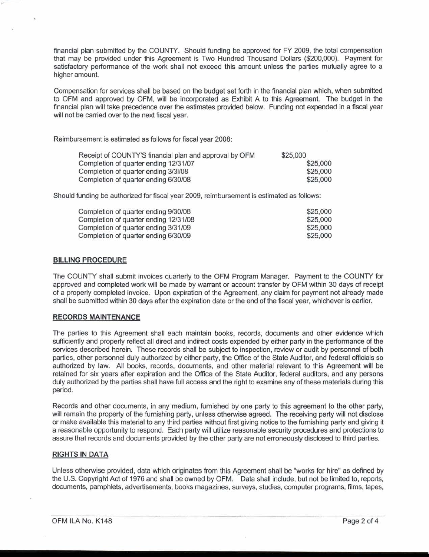financial plan submitted by the COUNTY. Should funding be approved for **FY** 2009, the total compensation that may be provided under this Agreement is Two Hundred Thousand Dollars (\$200,000). Payment for satisfactory performance of the work shall not exceed this amount unless the parties mutually agree to a higher amount.

Compensation for services shall be based on the budget set forth in the financial plan which, when submitted to OFM and approved by OFM, will be incorporated as Exhibit A to this Agreement. The budget in the financial plan will take precedence over the estimates provided below. Funding not expended in a fiscal year will not be carried over to the next fiscal year.

Reimbursement is estimated as follows for fiscal year 2008:

| Receipt of COUNTY'S financial plan and approval by OFM | \$25,000 |
|--------------------------------------------------------|----------|
| Completion of quarter ending 12/31/07                  | \$25,000 |
| Completion of quarter ending 3/31/08                   | \$25,000 |
| Completion of quarter ending 6/30/08                   | \$25,000 |

Should funding be authorized for fiscal year 2009, reimbursement is estimated as follows:

| Completion of quarter ending 9/30/08  | \$25,000 |
|---------------------------------------|----------|
| Completion of quarter ending 12/31/08 | \$25,000 |
| Completion of quarter ending 3/31/09  | \$25,000 |
| Completion of quarter ending 6/30/09  | \$25,000 |

### BILLING PROCEDURE

The COUNTY shall submit invoices quarterly to the OFM Program Manager. Payment to the COUNTY for approved and completed work will be made by warrant or account transfer by OFM within 30 days of receipt of a properly completed invoice. Upon expiration of the Agreement, any claim for payment not already made shall be submitted within 30 days after the expiration date or the end of the fiscal year, whichever is earlier.

# RECORDS MAINTENANCE

The parties to this Agreement shall each maintain books, records, documents and other evidence which sufficiently and properly reflect all direct and indirect costs expended by either party in the performance of the services described herein. These records shall be subject to inspection, review or audit by personnel of both parties, other personnel duly authorized by either party, the Office of the State Auditor, and federal officials so authorized by law. All books, records, documents, and other material relevant to this Agreement will be retained for six years after expiration and the Office of the State Auditor, federal auditors, and any persons duly authorized by the parties shall have full access and the right to examine any of these materials during this period.

Records and other documents, in any medium, furnished by one party to this agreement to the other party, will remain the property of the furnishing party, unless otherwise agreed. The receiving party will not disclose or make available this material to any third parties without first giving notice to the furnishing party and giving it a reasonable opportunity to respond. Each party will utilize reasonable security procedures and protections to assure that records and documents provided by the other party are not erroneously disclosed to third parties.

# RIGHTS IN DATA

Unless otherwise provided, data which originates from this Agreement shall be "works for hire" as defined by the U.S. Copyright Act of 1976 and shall be owned by OFM. Data shall include, but not be limited to, reports, documents, pamphlets, advertisements, books magazines, surveys, studies, computer programs, films, tapes,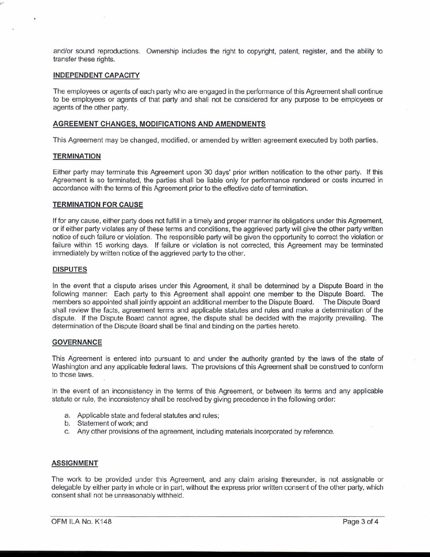and/or sound reproductions. Ownership includes the right to copyright, patent, register, and the ability to transfer these rights.

# INDEPENDENT CAPACITY

The employees or agents of each party who are engaged in the performance of this Agreement shall continue to be employees or agents of that party and shall not be considered for any purpose to be employees or agents of the other party.

### AGREEMENT CHANGES, MODIFICATIONS AND AMENDMENTS

This Agreement may be changed, modified, or amended by written agreement executed by both parties.

### **TERMINATION**

Either party may terminate this Agreement upon 30 days' prior written notification to the other party. If this Agreement is so terminated, the parties shall be liable only for performance rendered or costs incurred in accordance with the terms of this Agreement prior to the effective date of termination.

### TERMINATION FOR CAUSE

If for any cause, either party does not fulfill in a timely and proper manner its obligations under this Agreement, or if either party violates any of these terms and conditions, the aggrieved party will give the other party written notice of such failure or violation. The responsible party will be given the opportunity to correct the violation or failure within 15 working days. If failure or violation is not corrected, this Agreement may be terminated immediately by written notice of the aggrieved party to the other.

### DISPUTES

In the event that a dispute arises under this Agreement, it shall be determined by a Dispute Board in the following manner: Each party to this Agreement shall appoint one member to the Dispute Board. The members so appointed shall jointly appoint an additional member to the Dispute Board. The Dispute Board members so appointed shall jointly appoint an additional member to the Dispute Board. shall review the facts, agreement terms and applicable statutes and rules and make a determination of the dispute. If the Dispute Board cannot agree, the dispute shall be decided with the majority prevailing. The determination of the Dispute Board shall be final and binding on the parties hereto.

### **GOVERNANCE**

This Agreement is entered into pursuant to and under the authority granted by the laws of the state of Washington and any applicable federal laws. The provisions of this Agreement shall be construed to conform to those laws.

In the event of an inconsistency in the terms of this Agreement, or between its terms and any applicable statute or rule, the inconsistency shall be resolved by giving precedence in the following order:

- a. Applicable state and federal statutes and rules;
- b. Statement of work; and
- c. Any other provisions of the agreement, including materials incorporated by reference.

#### ASSIGNMENT

The work to be provided under this Agreement, and any claim arising thereunder, is not assignable or delegable by either party in whole or in part, without the express prior written consent of the other party, which consent shall not be unreasonably withheld.